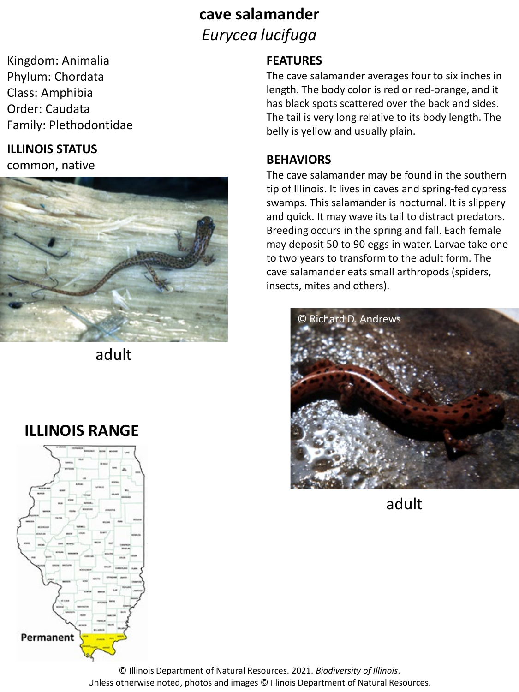## **cave salamander** *Eurycea lucifuga*

Kingdom: Animalia Phylum: Chordata Class: Amphibia Order: Caudata Family: Plethodontidae

#### **ILLINOIS STATUS**

common, native



adult

# **ILLINOIS RANGE**



### **FEATURES**

The cave salamander averages four to six inches in length. The body color is red or red-orange, and it has black spots scattered over the back and sides. The tail is very long relative to its body length. The belly is yellow and usually plain.

#### **BEHAVIORS**

The cave salamander may be found in the southern tip of Illinois. It lives in caves and spring-fed cypress swamps. This salamander is nocturnal. It is slippery and quick. It may wave its tail to distract predators. Breeding occurs in the spring and fall. Each female may deposit 50 to 90 eggs in water. Larvae take one to two years to transform to the adult form. The cave salamander eats small arthropods (spiders, insects, mites and others).



adult

© Illinois Department of Natural Resources. 2021. *Biodiversity of Illinois*. Unless otherwise noted, photos and images © Illinois Department of Natural Resources.